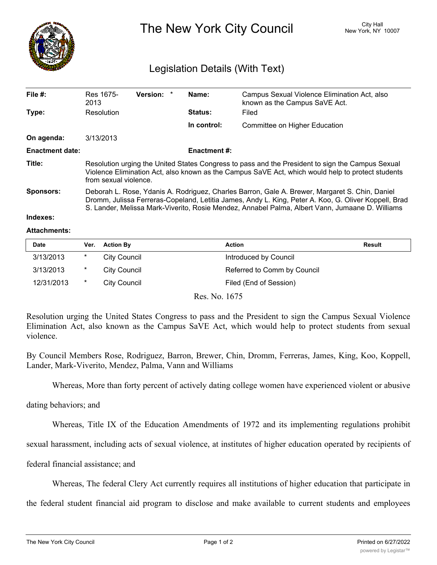

The New York City Council New York, NY 10007

## Legislation Details (With Text)

## **Indexes:**

## **Attachments:**

| <b>Date</b> | Ver. | <b>Action By</b> | Action                      | <b>Result</b> |
|-------------|------|------------------|-----------------------------|---------------|
| 3/13/2013   | *    | City Council     | Introduced by Council       |               |
| 3/13/2013   | *    | City Council     | Referred to Comm by Council |               |
| 12/31/2013  | *    | City Council     | Filed (End of Session)      |               |

Res. No. 1675

Resolution urging the United States Congress to pass and the President to sign the Campus Sexual Violence Elimination Act, also known as the Campus SaVE Act, which would help to protect students from sexual violence.

By Council Members Rose, Rodriguez, Barron, Brewer, Chin, Dromm, Ferreras, James, King, Koo, Koppell, Lander, Mark-Viverito, Mendez, Palma, Vann and Williams

Whereas, More than forty percent of actively dating college women have experienced violent or abusive

dating behaviors; and

Whereas, Title IX of the Education Amendments of 1972 and its implementing regulations prohibit

sexual harassment, including acts of sexual violence, at institutes of higher education operated by recipients of

federal financial assistance; and

Whereas, The federal Clery Act currently requires all institutions of higher education that participate in

the federal student financial aid program to disclose and make available to current students and employees